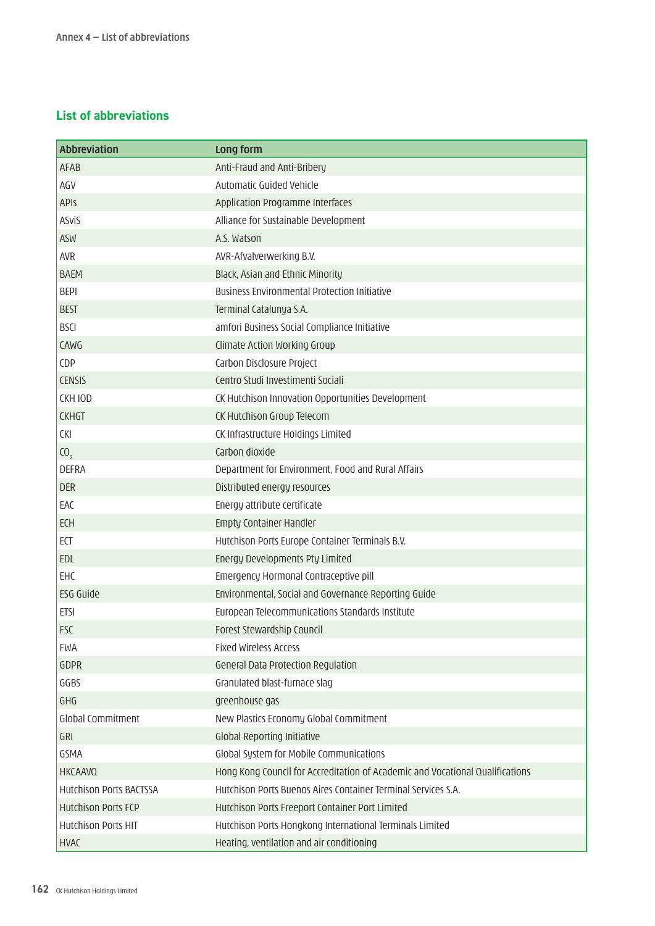## **List of abbreviations**

| Abbreviation               | Long form                                                                     |
|----------------------------|-------------------------------------------------------------------------------|
| <b>AFAB</b>                | Anti-Fraud and Anti-Bribery                                                   |
| AGV                        | Automatic Guided Vehicle                                                      |
| APIS                       | Application Programme Interfaces                                              |
| <b>ASviS</b>               | Alliance for Sustainable Development                                          |
| <b>ASW</b>                 | A.S. Watson                                                                   |
| <b>AVR</b>                 | AVR-Afvalverwerking B.V.                                                      |
| <b>BAEM</b>                | Black, Asian and Ethnic Minority                                              |
| <b>BEPI</b>                | <b>Business Environmental Protection Initiative</b>                           |
| <b>BEST</b>                | Terminal Catalunya S.A.                                                       |
| <b>BSCI</b>                | amfori Business Social Compliance Initiative                                  |
| CAWG                       | Climate Action Working Group                                                  |
| CDP                        | Carbon Disclosure Project                                                     |
| <b>CENSIS</b>              | Centro Studi Investimenti Sociali                                             |
| CKH IOD                    | CK Hutchison Innovation Opportunities Development                             |
| <b>CKHGT</b>               | CK Hutchison Group Telecom                                                    |
| <b>CKI</b>                 | CK Infrastructure Holdings Limited                                            |
| (0,                        | Carbon dioxide                                                                |
| <b>DEFRA</b>               | Department for Environment, Food and Rural Affairs                            |
| <b>DER</b>                 | Distributed energy resources                                                  |
| EAC                        | Energy attribute certificate                                                  |
| <b>ECH</b>                 | Empty Container Handler                                                       |
| ECT                        | Hutchison Ports Europe Container Terminals B.V.                               |
| EDL                        | Energy Developments Pty Limited                                               |
| EHC                        | Emergency Hormonal Contraceptive pill                                         |
| ESG Guide                  | Environmental, Social and Governance Reporting Guide                          |
| <b>ETSI</b>                | European Telecommunications Standards Institute                               |
| <b>FSC</b>                 | Forest Stewardship Council                                                    |
| <b>FWA</b>                 | <b>Fixed Wireless Access</b>                                                  |
| <b>GDPR</b>                | General Data Protection Regulation                                            |
| GGBS                       | Granulated blast-furnace slag                                                 |
| GHG                        | greenhouse gas                                                                |
| <b>Global Commitment</b>   | New Plastics Economy Global Commitment                                        |
| GRI                        | <b>Global Reporting Initiative</b>                                            |
| GSMA                       | Global System for Mobile Communications                                       |
| <b>HKCAAVQ</b>             | Hong Kong Council for Accreditation of Academic and Vocational Qualifications |
| Hutchison Ports BACTSSA    | Hutchison Ports Buenos Aires Container Terminal Services S.A.                 |
| <b>Hutchison Ports FCP</b> | Hutchison Ports Freeport Container Port Limited                               |
| <b>Hutchison Ports HIT</b> | Hutchison Ports Hongkong International Terminals Limited                      |
| <b>HVAC</b>                | Heating, ventilation and air conditioning                                     |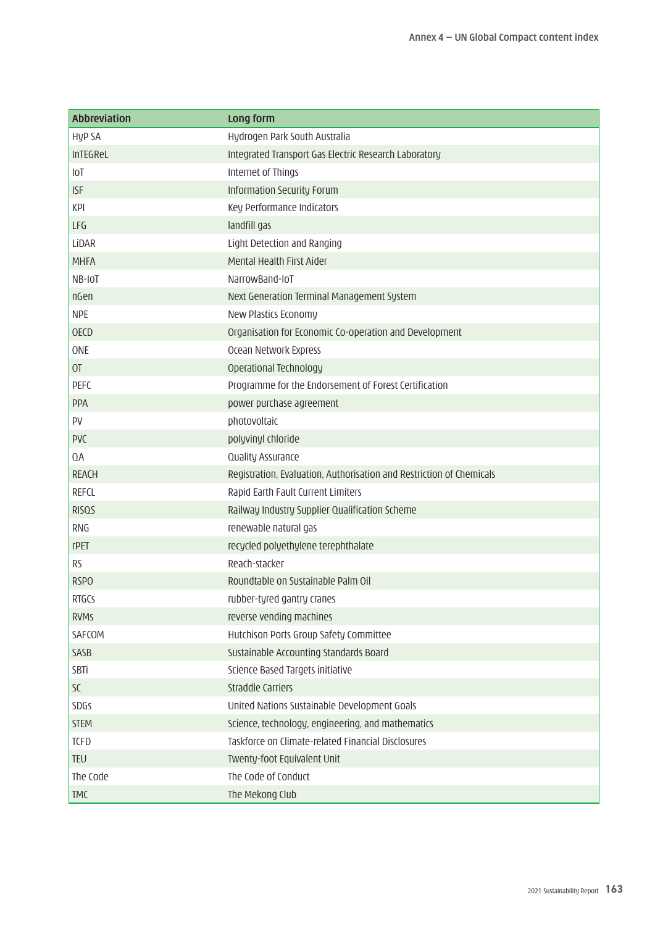| <b>Abbreviation</b> | Long form                                                            |
|---------------------|----------------------------------------------------------------------|
| <b>HyP SA</b>       | Hydrogen Park South Australia                                        |
| InTEGReL            | Integrated Transport Gas Electric Research Laboratory                |
| <b>IOT</b>          | Internet of Things                                                   |
| <b>ISF</b>          | Information Security Forum                                           |
| <b>KPI</b>          | Key Performance Indicators                                           |
| LFG                 | landfill gas                                                         |
| LİDAR               | Light Detection and Ranging                                          |
| <b>MHFA</b>         | Mental Health First Aider                                            |
| NB-IOT              | NarrowBand-IoT                                                       |
| nGen                | Next Generation Terminal Management System                           |
| <b>NPE</b>          | New Plastics Economy                                                 |
| <b>OECD</b>         | Organisation for Economic Co-operation and Development               |
| ONE                 | Ocean Network Express                                                |
| O <sub>T</sub>      | Operational Technology                                               |
| <b>PEFC</b>         | Programme for the Endorsement of Forest Certification                |
| <b>PPA</b>          | power purchase agreement                                             |
| PV                  | photovoltaic                                                         |
| <b>PVC</b>          | polyvinyl chloride                                                   |
| QA                  | Quality Assurance                                                    |
| <b>REACH</b>        | Registration, Evaluation, Authorisation and Restriction of Chemicals |
| <b>REFCL</b>        | Rapid Earth Fault Current Limiters                                   |
| <b>RISQS</b>        | Railway Industry Supplier Qualification Scheme                       |
| <b>RNG</b>          | renewable natural gas                                                |
| rPET                | recycled polyethylene terephthalate                                  |
| <b>RS</b>           | Reach-stacker                                                        |
| <b>RSPO</b>         | Roundtable on Sustainable Palm Oil                                   |
| <b>RTGCS</b>        | rubber-tyred gantry cranes                                           |
| <b>RVMs</b>         | reverse vending machines                                             |
| SAFCOM              | Hutchison Ports Group Safety Committee                               |
| SASB                | Sustainable Accounting Standards Board                               |
| SBTi                | Science Based Targets initiative                                     |
| SC                  | <b>Straddle Carriers</b>                                             |
| SDGs                | United Nations Sustainable Development Goals                         |
| <b>STEM</b>         | Science, technology, engineering, and mathematics                    |
| <b>TCFD</b>         | Taskforce on Climate-related Financial Disclosures                   |
| <b>TEU</b>          | Twenty-foot Equivalent Unit                                          |
| The Code            | The Code of Conduct                                                  |
| <b>TMC</b>          | The Mekong Club                                                      |